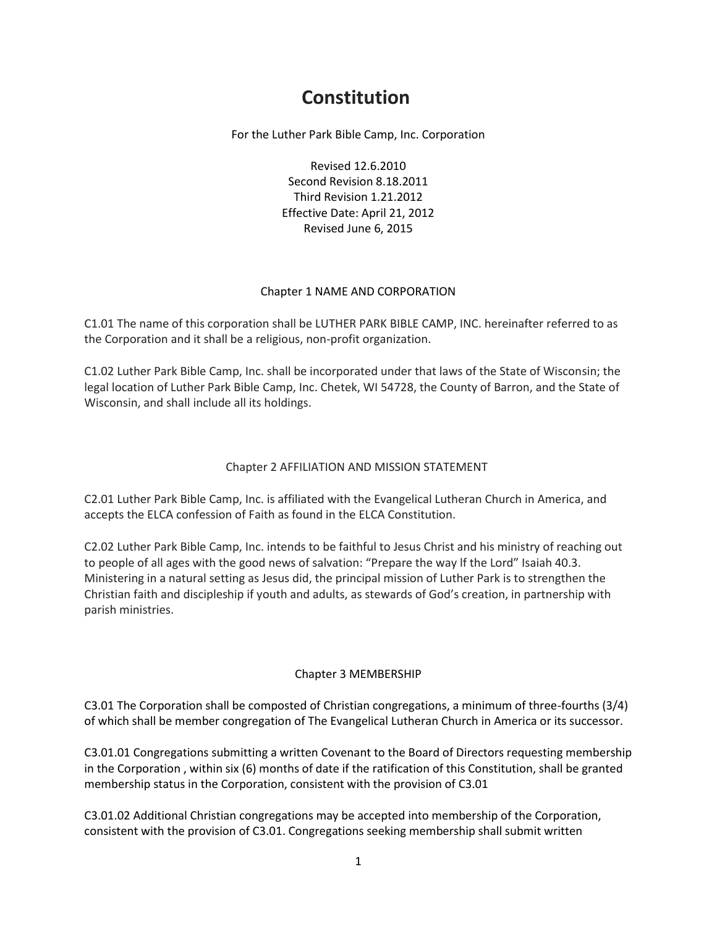# **Constitution**

For the Luther Park Bible Camp, Inc. Corporation

Revised 12.6.2010 Second Revision 8.18.2011 Third Revision 1.21.2012 Effective Date: April 21, 2012 Revised June 6, 2015

### Chapter 1 NAME AND CORPORATION

C1.01 The name of this corporation shall be LUTHER PARK BIBLE CAMP, INC. hereinafter referred to as the Corporation and it shall be a religious, non-profit organization.

C1.02 Luther Park Bible Camp, Inc. shall be incorporated under that laws of the State of Wisconsin; the legal location of Luther Park Bible Camp, Inc. Chetek, WI 54728, the County of Barron, and the State of Wisconsin, and shall include all its holdings.

### Chapter 2 AFFILIATION AND MISSION STATEMENT

C2.01 Luther Park Bible Camp, Inc. is affiliated with the Evangelical Lutheran Church in America, and accepts the ELCA confession of Faith as found in the ELCA Constitution.

C2.02 Luther Park Bible Camp, Inc. intends to be faithful to Jesus Christ and his ministry of reaching out to people of all ages with the good news of salvation: "Prepare the way lf the Lord" Isaiah 40.3. Ministering in a natural setting as Jesus did, the principal mission of Luther Park is to strengthen the Christian faith and discipleship if youth and adults, as stewards of God's creation, in partnership with parish ministries.

### Chapter 3 MEMBERSHIP

C3.01 The Corporation shall be composted of Christian congregations, a minimum of three-fourths (3/4) of which shall be member congregation of The Evangelical Lutheran Church in America or its successor.

C3.01.01 Congregations submitting a written Covenant to the Board of Directors requesting membership in the Corporation , within six (6) months of date if the ratification of this Constitution, shall be granted membership status in the Corporation, consistent with the provision of C3.01

C3.01.02 Additional Christian congregations may be accepted into membership of the Corporation, consistent with the provision of C3.01. Congregations seeking membership shall submit written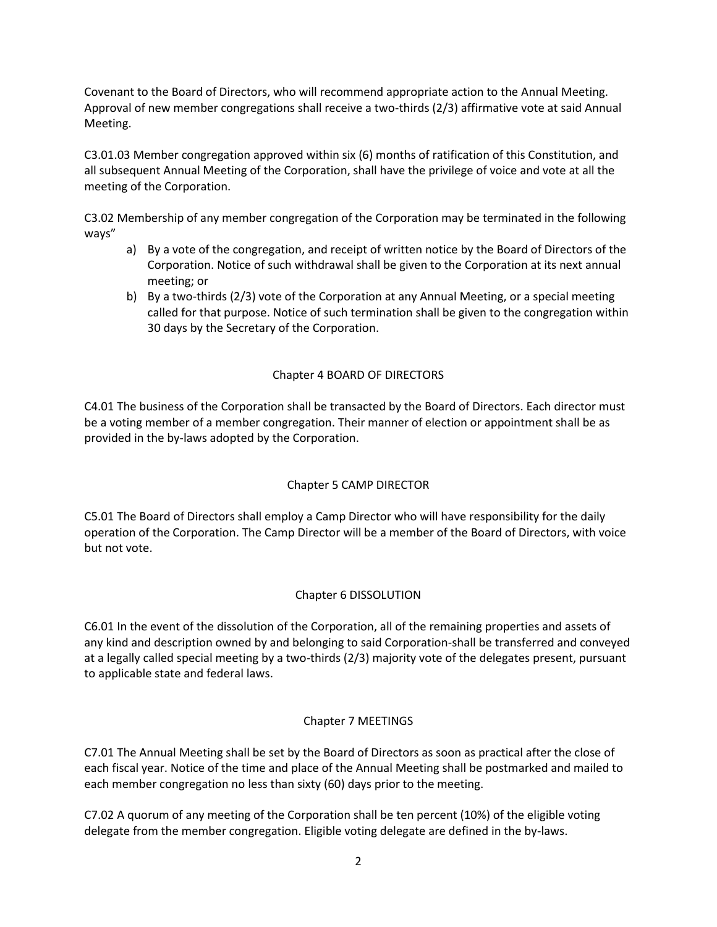Covenant to the Board of Directors, who will recommend appropriate action to the Annual Meeting. Approval of new member congregations shall receive a two-thirds (2/3) affirmative vote at said Annual Meeting.

C3.01.03 Member congregation approved within six (6) months of ratification of this Constitution, and all subsequent Annual Meeting of the Corporation, shall have the privilege of voice and vote at all the meeting of the Corporation.

C3.02 Membership of any member congregation of the Corporation may be terminated in the following ways"

- a) By a vote of the congregation, and receipt of written notice by the Board of Directors of the Corporation. Notice of such withdrawal shall be given to the Corporation at its next annual meeting; or
- b) By a two-thirds (2/3) vote of the Corporation at any Annual Meeting, or a special meeting called for that purpose. Notice of such termination shall be given to the congregation within 30 days by the Secretary of the Corporation.

### Chapter 4 BOARD OF DIRECTORS

C4.01 The business of the Corporation shall be transacted by the Board of Directors. Each director must be a voting member of a member congregation. Their manner of election or appointment shall be as provided in the by-laws adopted by the Corporation.

### Chapter 5 CAMP DIRECTOR

C5.01 The Board of Directors shall employ a Camp Director who will have responsibility for the daily operation of the Corporation. The Camp Director will be a member of the Board of Directors, with voice but not vote.

### Chapter 6 DISSOLUTION

C6.01 In the event of the dissolution of the Corporation, all of the remaining properties and assets of any kind and description owned by and belonging to said Corporation-shall be transferred and conveyed at a legally called special meeting by a two-thirds (2/3) majority vote of the delegates present, pursuant to applicable state and federal laws.

### Chapter 7 MEETINGS

C7.01 The Annual Meeting shall be set by the Board of Directors as soon as practical after the close of each fiscal year. Notice of the time and place of the Annual Meeting shall be postmarked and mailed to each member congregation no less than sixty (60) days prior to the meeting.

C7.02 A quorum of any meeting of the Corporation shall be ten percent (10%) of the eligible voting delegate from the member congregation. Eligible voting delegate are defined in the by-laws.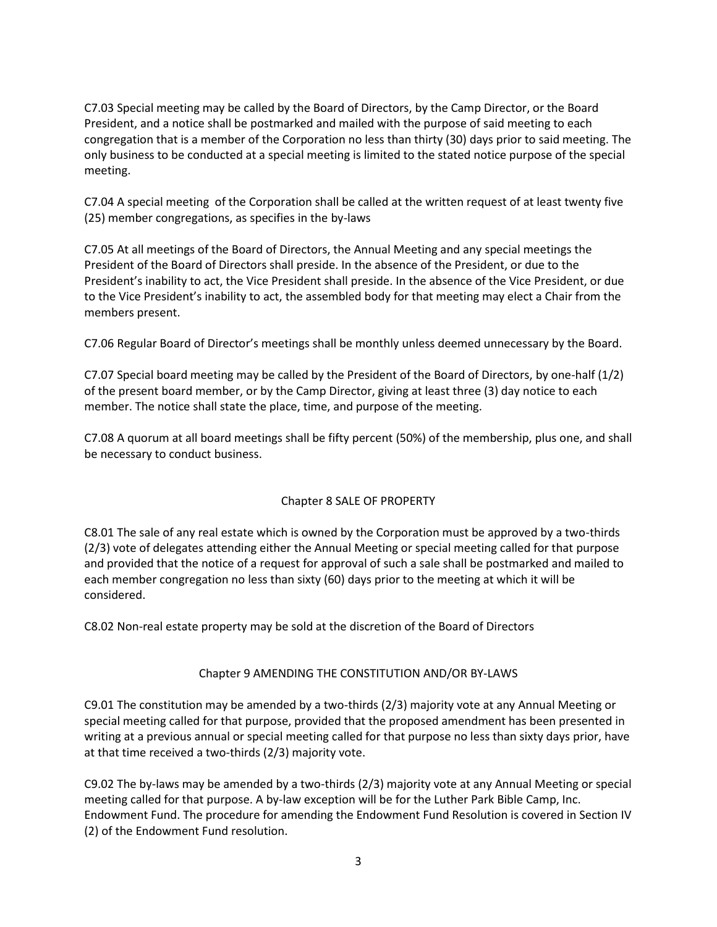C7.03 Special meeting may be called by the Board of Directors, by the Camp Director, or the Board President, and a notice shall be postmarked and mailed with the purpose of said meeting to each congregation that is a member of the Corporation no less than thirty (30) days prior to said meeting. The only business to be conducted at a special meeting is limited to the stated notice purpose of the special meeting.

C7.04 A special meeting of the Corporation shall be called at the written request of at least twenty five (25) member congregations, as specifies in the by-laws

C7.05 At all meetings of the Board of Directors, the Annual Meeting and any special meetings the President of the Board of Directors shall preside. In the absence of the President, or due to the President's inability to act, the Vice President shall preside. In the absence of the Vice President, or due to the Vice President's inability to act, the assembled body for that meeting may elect a Chair from the members present.

C7.06 Regular Board of Director's meetings shall be monthly unless deemed unnecessary by the Board.

C7.07 Special board meeting may be called by the President of the Board of Directors, by one-half (1/2) of the present board member, or by the Camp Director, giving at least three (3) day notice to each member. The notice shall state the place, time, and purpose of the meeting.

C7.08 A quorum at all board meetings shall be fifty percent (50%) of the membership, plus one, and shall be necessary to conduct business.

### Chapter 8 SALE OF PROPERTY

C8.01 The sale of any real estate which is owned by the Corporation must be approved by a two-thirds (2/3) vote of delegates attending either the Annual Meeting or special meeting called for that purpose and provided that the notice of a request for approval of such a sale shall be postmarked and mailed to each member congregation no less than sixty (60) days prior to the meeting at which it will be considered.

C8.02 Non-real estate property may be sold at the discretion of the Board of Directors

#### Chapter 9 AMENDING THE CONSTITUTION AND/OR BY-LAWS

C9.01 The constitution may be amended by a two-thirds (2/3) majority vote at any Annual Meeting or special meeting called for that purpose, provided that the proposed amendment has been presented in writing at a previous annual or special meeting called for that purpose no less than sixty days prior, have at that time received a two-thirds (2/3) majority vote.

C9.02 The by-laws may be amended by a two-thirds (2/3) majority vote at any Annual Meeting or special meeting called for that purpose. A by-law exception will be for the Luther Park Bible Camp, Inc. Endowment Fund. The procedure for amending the Endowment Fund Resolution is covered in Section IV (2) of the Endowment Fund resolution.